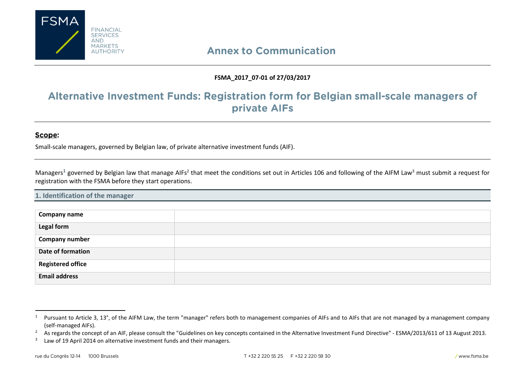

# **Annex to Communication**

# **FSMA\_2017\_07-01 of 27/03/2017**

# Alternative Investment Funds: Registration form for Belgian small-scale managers of private AIFs

## Scope:

 $\overline{\phantom{a}}$ 

Small-scale managers, governed by Belgian law, of private alternative investment funds (AIF).

Managers<sup>1</sup> governed by Belgian law that manage AIFs<sup>2</sup> that meet the conditions set out in Articles 106 and following of the AIFM Law<sup>3</sup> must submit a request for registration with the FSMA before they start operations.

### **1. Identification of the manager**

| Company name             |  |
|--------------------------|--|
| Legal form               |  |
| <b>Company number</b>    |  |
| Date of formation        |  |
| <b>Registered office</b> |  |
| <b>Email address</b>     |  |

<sup>&</sup>lt;sup>1</sup> Pursuant to Article 3, 13°, of the AIFM Law, the term "manager" refers both to management companies of AIFs and to AIFs that are not managed by a management company (self-managed AIFs).

<sup>&</sup>lt;sup>2</sup> As regards the concept of an AIF, please consult the "Guidelines on key concepts contained in the Alternative Investment Fund Directive" - ESMA/2013/611 of 13 August 2013.

<sup>3</sup> Law of 19 April 2014 on alternative investment funds and their managers.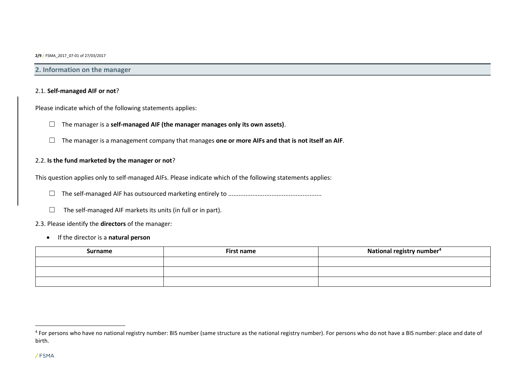### **2. Information on the manager**

### 2.1. **Self-managed AIF or not**?

Please indicate which of the following statements applies:

- ☐ The manager is a **self-managed AIF (the manager manages only its own assets)**.
- ☐ The manager is a management company that manages **one or more AIFs and that is not itself an AIF**.

### 2.2. **Is the fund marketed by the manager or not**?

This question applies only to self-managed AIFs. Please indicate which of the following statements applies:

- ☐ The self-managed AIF has outsourced marketing entirely to ......................................................
- $\Box$  The self-managed AIF markets its units (in full or in part).

### 2.3. Please identify the **directors** of the manager:

If the director is a **natural person**

| Surname | <b>First name</b> | National registry number <sup>4</sup> |
|---------|-------------------|---------------------------------------|
|         |                   |                                       |
|         |                   |                                       |
|         |                   |                                       |

<sup>&</sup>lt;sup>4</sup> For persons who have no national registry number: BIS number (same structure as the national registry number). For persons who do not have a BIS number: place and date of birth.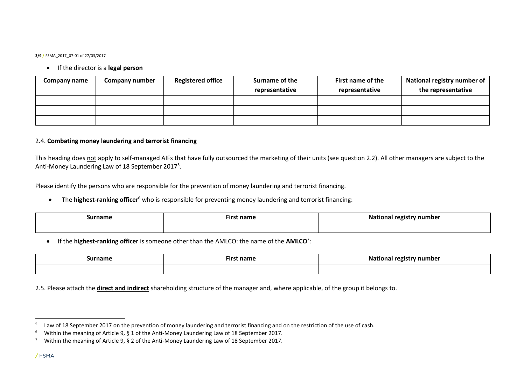### If the director is a **legal person**

| Company name | <b>Company number</b> | <b>Registered office</b> | Surname of the | First name of the | National registry number of |
|--------------|-----------------------|--------------------------|----------------|-------------------|-----------------------------|
|              |                       |                          | representative | representative    | the representative          |
|              |                       |                          |                |                   |                             |
|              |                       |                          |                |                   |                             |
|              |                       |                          |                |                   |                             |

### 2.4. **Combating money laundering and terrorist financing**

This heading does not apply to self-managed AIFs that have fully outsourced the marketing of their units (see question 2.2). All other managers are subject to the Anti-Money Laundering Law of 18 September 2017<sup>5</sup>.

Please identify the persons who are responsible for the prevention of money laundering and terrorist financing.

The **highest-ranking officer<sup>6</sup>** who is responsible for preventing money laundering and terrorist financing:

| surname | nam | umbe |
|---------|-----|------|
|         |     |      |

If the **highest-ranking officer** is someone other than the AMLCO: the name of the **AMLCO**<sup>7</sup> :

| Surname | ∶name<br>·IFS. | - -<br>No.<br>' number<br>rogici<br>National<br>. . |
|---------|----------------|-----------------------------------------------------|
|         |                |                                                     |

2.5. Please attach the **direct and indirect** shareholding structure of the manager and, where applicable, of the group it belongs to.

 $\overline{a}$ 

<sup>5</sup> Law of 18 September 2017 on the prevention of money laundering and terrorist financing and on the restriction of the use of cash.

<sup>6</sup> Within the meaning of Article 9, § 1 of the Anti-Money Laundering Law of 18 September 2017.

<sup>&</sup>lt;sup>7</sup> Within the meaning of Article 9, § 2 of the Anti-Money Laundering Law of 18 September 2017.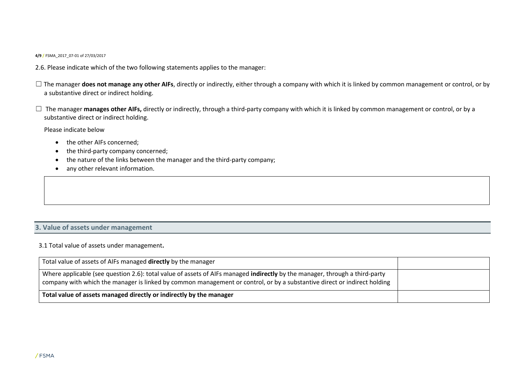- 2.6. Please indicate which of the two following statements applies to the manager:
- □ The manager **does not manage any other AIFs**, directly or indirectly, either through a company with which it is linked by common management or control, or by a substantive direct or indirect holding.
- □ The manager **manages other AIFs,** directly or indirectly, through a third-party company with which it is linked by common management or control, or by a substantive direct or indirect holding.

Please indicate below

- the other AIFs concerned:
- the third-party company concerned;
- the nature of the links between the manager and the third-party company;
- any other relevant information.

### **3. Value of assets under management**

3.1 Total value of assets under management**.**

| Total value of assets of AIFs managed directly by the manager                                                                                                                                                                                           |  |
|---------------------------------------------------------------------------------------------------------------------------------------------------------------------------------------------------------------------------------------------------------|--|
| Where applicable (see question 2.6): total value of assets of AIFs managed indirectly by the manager, through a third-party<br>company with which the manager is linked by common management or control, or by a substantive direct or indirect holding |  |
| Total value of assets managed directly or indirectly by the manager                                                                                                                                                                                     |  |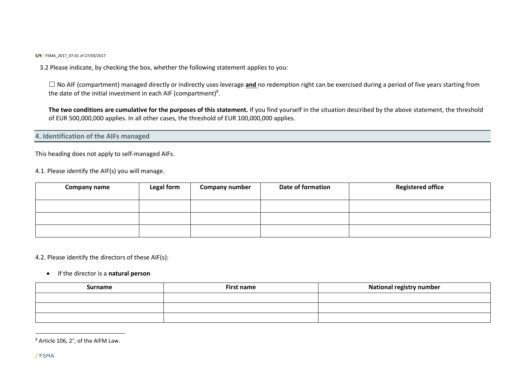3.2 Please indicate, by checking the box, whether the following statement applies to you:

□ No AIF (compartment) managed directly or indirectly uses leverage and no redemption right can be exercised during a period of five years starting from the date of the initial investment in each AIF (compartment)<sup>8</sup>.

**The two conditions are cumulative for the purposes of this statement.** If you find yourself in the situation described by the above statement, the threshold of EUR 500,000,000 applies. In all other cases, the threshold of EUR 100,000,000 applies.

**4. Identification of the AIFs managed**

This heading does not apply to self-managed AIFs.

4.1. Please identify the AIF(s) you will manage.

| <b>Company name</b> | Legal form | <b>Company number</b> | <b>Date of formation</b> | <b>Registered office</b> |
|---------------------|------------|-----------------------|--------------------------|--------------------------|
|                     |            |                       |                          |                          |
|                     |            |                       |                          |                          |
|                     |            |                       |                          |                          |

4.2. Please identify the directors of these AIF(s):

### If the director is a **natural person**

| <b>Surname</b> | <b>First name</b> | <b>National registry number</b> |
|----------------|-------------------|---------------------------------|
|                |                   |                                 |
|                |                   |                                 |
|                |                   |                                 |

<sup>8</sup> Article 106, 2°, of the AIFM Law.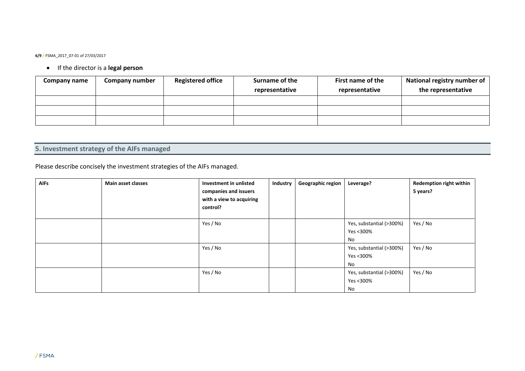# If the director is a **legal person**

| <b>Company name</b> | <b>Company number</b> | <b>Registered office</b> | Surname of the | First name of the | National registry number of |
|---------------------|-----------------------|--------------------------|----------------|-------------------|-----------------------------|
|                     |                       |                          | representative | representative    | the representative          |
|                     |                       |                          |                |                   |                             |
|                     |                       |                          |                |                   |                             |
|                     |                       |                          |                |                   |                             |

# **5. Investment strategy of the AIFs managed**

Please describe concisely the investment strategies of the AIFs managed.

| <b>AIFs</b> | Main asset classes | Investment in unlisted<br>companies and issuers<br>with a view to acquiring<br>control? | Industry | <b>Geographic region</b> | Leverage?                                   | <b>Redemption right within</b><br>5 years? |
|-------------|--------------------|-----------------------------------------------------------------------------------------|----------|--------------------------|---------------------------------------------|--------------------------------------------|
|             |                    | Yes / No                                                                                |          |                          | Yes, substantial (>300%)<br>Yes <300%<br>No | Yes / No                                   |
|             |                    | Yes / No                                                                                |          |                          | Yes, substantial (>300%)<br>Yes <300%<br>No | Yes / No                                   |
|             |                    | Yes / No                                                                                |          |                          | Yes, substantial (>300%)<br>Yes <300%<br>No | Yes / No                                   |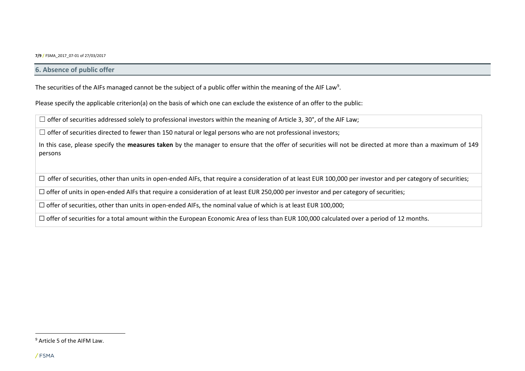### **6. Absence of public offer**

The securities of the AIFs managed cannot be the subject of a public offer within the meaning of the AIF Law<sup>9</sup>.

Please specify the applicable criterion(a) on the basis of which one can exclude the existence of an offer to the public:

 $\Box$  offer of securities addressed solely to professional investors within the meaning of Article 3, 30°, of the AIF Law;

 $\Box$  offer of securities directed to fewer than 150 natural or legal persons who are not professional investors;

In this case, please specify the **measures taken** by the manager to ensure that the offer of securities will not be directed at more than a maximum of 149 persons

□ offer of securities, other than units in open-ended AIFs, that require a consideration of at least EUR 100,000 per investor and per category of securities;

☐ offer of units in open-ended AIFs that require a consideration of at least EUR 250,000 per investor and per category of securities;

 $\Box$  offer of securities, other than units in open-ended AIFs, the nominal value of which is at least EUR 100,000;

□ offer of securities for a total amount within the European Economic Area of less than EUR 100,000 calculated over a period of 12 months.

<sup>9</sup> Article 5 of the AIFM Law.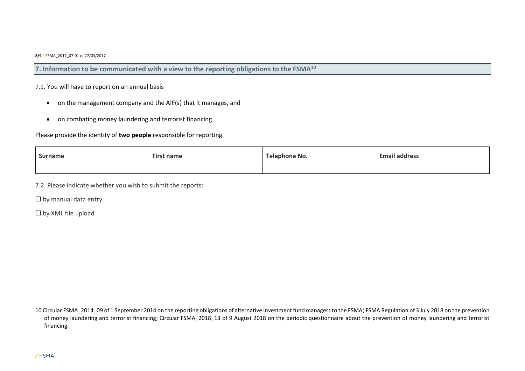**7. Information to be communicated with a view to the reporting obligations to the FSMA<sup>10</sup>**

### 7.1. You will have to report on an annual basis

- on the management company and the AIF(s) that it manages, and
- on combating money laundering and terrorist financing.

### Please provide the identity of **two people** responsible for reporting.

| <b>Surname</b> | <b>First name</b> | Telephone No. | <b>Email address</b> |
|----------------|-------------------|---------------|----------------------|
|                |                   |               |                      |

7.2. Please indicate whether you wish to submit the reports:

 $\Box$  by manual data entry

☐ by XML file upload

<sup>10</sup> Circular FSMA 2014 09 of 1 September 2014 on the reporting obligations of alternative investment fund managers to the FSMA; FSMA Regulation of 3 July 2018 on the prevention of money laundering and terrorist financing; Circular FSMA\_2018\_13 of 9 August 2018 on the periodic questionnaire about the prevention of money laundering and terrorist financing.